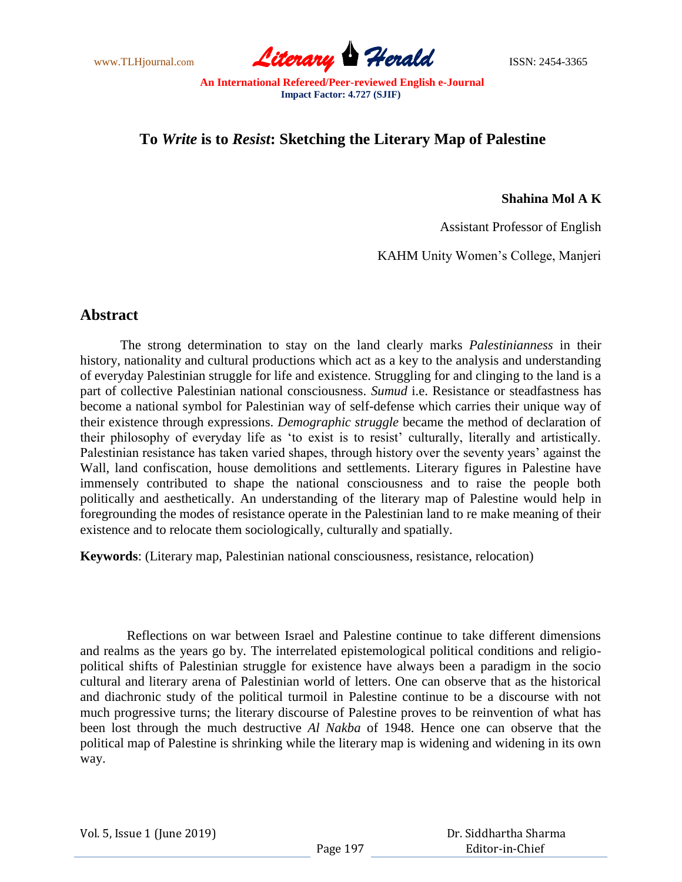www.TLHjournal.com **Literary Perald Herald** ISSN: 2454-3365

## **To** *Write* **is to** *Resist***: Sketching the Literary Map of Palestine**

**Shahina Mol A K**

Assistant Professor of English

KAHM Unity Women"s College, Manjeri

## **Abstract**

The strong determination to stay on the land clearly marks *Palestinianness* in their history, nationality and cultural productions which act as a key to the analysis and understanding of everyday Palestinian struggle for life and existence. Struggling for and clinging to the land is a part of collective Palestinian national consciousness. *Sumud* i.e. Resistance or steadfastness has become a national symbol for Palestinian way of self-defense which carries their unique way of their existence through expressions. *Demographic struggle* became the method of declaration of their philosophy of everyday life as "to exist is to resist" culturally, literally and artistically. Palestinian resistance has taken varied shapes, through history over the seventy years' against the Wall, land confiscation, house demolitions and settlements. Literary figures in Palestine have immensely contributed to shape the national consciousness and to raise the people both politically and aesthetically. An understanding of the literary map of Palestine would help in foregrounding the modes of resistance operate in the Palestinian land to re make meaning of their existence and to relocate them sociologically, culturally and spatially.

**Keywords**: (Literary map, Palestinian national consciousness, resistance, relocation)

 Reflections on war between Israel and Palestine continue to take different dimensions and realms as the years go by. The interrelated epistemological political conditions and religiopolitical shifts of Palestinian struggle for existence have always been a paradigm in the socio cultural and literary arena of Palestinian world of letters. One can observe that as the historical and diachronic study of the political turmoil in Palestine continue to be a discourse with not much progressive turns; the literary discourse of Palestine proves to be reinvention of what has been lost through the much destructive *Al Nakba* of 1948. Hence one can observe that the political map of Palestine is shrinking while the literary map is widening and widening in its own way.

Vol. 5, Issue 1 (June 2019)

 Dr. Siddhartha Sharma Editor-in-Chief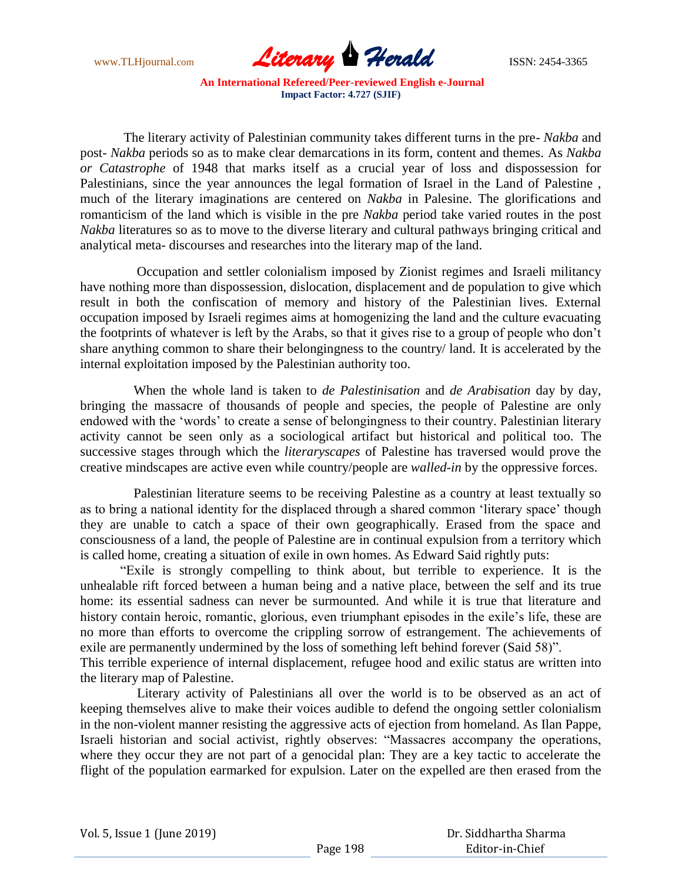

 The literary activity of Palestinian community takes different turns in the pre- *Nakba* and post- *Nakba* periods so as to make clear demarcations in its form, content and themes. As *Nakba or Catastrophe* of 1948 that marks itself as a crucial year of loss and dispossession for Palestinians, since the year announces the legal formation of Israel in the Land of Palestine , much of the literary imaginations are centered on *Nakba* in Palesine. The glorifications and romanticism of the land which is visible in the pre *Nakba* period take varied routes in the post *Nakba* literatures so as to move to the diverse literary and cultural pathways bringing critical and analytical meta- discourses and researches into the literary map of the land.

 Occupation and settler colonialism imposed by Zionist regimes and Israeli militancy have nothing more than dispossession, dislocation, displacement and de population to give which result in both the confiscation of memory and history of the Palestinian lives. External occupation imposed by Israeli regimes aims at homogenizing the land and the culture evacuating the footprints of whatever is left by the Arabs, so that it gives rise to a group of people who don"t share anything common to share their belongingness to the country/ land. It is accelerated by the internal exploitation imposed by the Palestinian authority too.

 When the whole land is taken to *de Palestinisation* and *de Arabisation* day by day, bringing the massacre of thousands of people and species, the people of Palestine are only endowed with the "words" to create a sense of belongingness to their country. Palestinian literary activity cannot be seen only as a sociological artifact but historical and political too. The successive stages through which the *literaryscapes* of Palestine has traversed would prove the creative mindscapes are active even while country/people are *walled-in* by the oppressive forces.

 Palestinian literature seems to be receiving Palestine as a country at least textually so as to bring a national identity for the displaced through a shared common "literary space" though they are unable to catch a space of their own geographically. Erased from the space and consciousness of a land, the people of Palestine are in continual expulsion from a territory which is called home, creating a situation of exile in own homes. As Edward Said rightly puts:

"Exile is strongly compelling to think about, but terrible to experience. It is the unhealable rift forced between a human being and a native place, between the self and its true home: its essential sadness can never be surmounted. And while it is true that literature and history contain heroic, romantic, glorious, even triumphant episodes in the exile's life, these are no more than efforts to overcome the crippling sorrow of estrangement. The achievements of exile are permanently undermined by the loss of something left behind forever (Said 58)".

This terrible experience of internal displacement, refugee hood and exilic status are written into the literary map of Palestine.

 Literary activity of Palestinians all over the world is to be observed as an act of keeping themselves alive to make their voices audible to defend the ongoing settler colonialism in the non-violent manner resisting the aggressive acts of ejection from homeland. As Ilan Pappe, Israeli historian and social activist, rightly observes: "Massacres accompany the operations, where they occur they are not part of a genocidal plan: They are a key tactic to accelerate the flight of the population earmarked for expulsion. Later on the expelled are then erased from the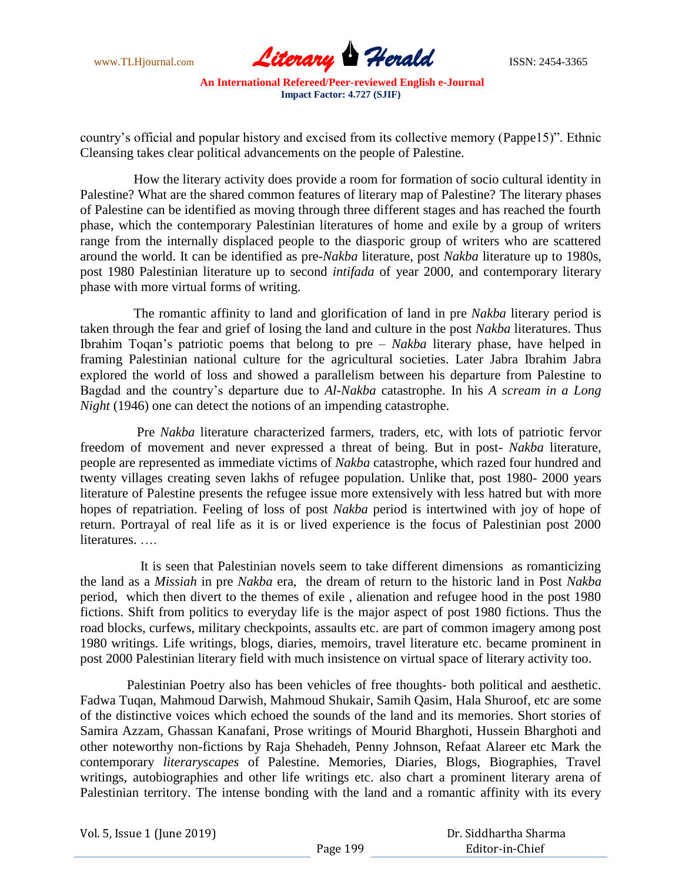

country"s official and popular history and excised from its collective memory (Pappe15)". Ethnic Cleansing takes clear political advancements on the people of Palestine.

 How the literary activity does provide a room for formation of socio cultural identity in Palestine? What are the shared common features of literary map of Palestine? The literary phases of Palestine can be identified as moving through three different stages and has reached the fourth phase, which the contemporary Palestinian literatures of home and exile by a group of writers range from the internally displaced people to the diasporic group of writers who are scattered around the world. It can be identified as pre-*Nakba* literature, post *Nakba* literature up to 1980s, post 1980 Palestinian literature up to second *intifada* of year 2000, and contemporary literary phase with more virtual forms of writing.

 The romantic affinity to land and glorification of land in pre *Nakba* literary period is taken through the fear and grief of losing the land and culture in the post *Nakba* literatures. Thus Ibrahim Toqan"s patriotic poems that belong to pre – *Nakba* literary phase, have helped in framing Palestinian national culture for the agricultural societies. Later Jabra Ibrahim Jabra explored the world of loss and showed a parallelism between his departure from Palestine to Bagdad and the country"s departure due to *Al-Nakba* catastrophe. In his *A scream in a Long Night* (1946) one can detect the notions of an impending catastrophe.

 Pre *Nakba* literature characterized farmers, traders, etc, with lots of patriotic fervor freedom of movement and never expressed a threat of being. But in post- *Nakba* literature, people are represented as immediate victims of *Nakba* catastrophe, which razed four hundred and twenty villages creating seven lakhs of refugee population. Unlike that, post 1980- 2000 years literature of Palestine presents the refugee issue more extensively with less hatred but with more hopes of repatriation. Feeling of loss of post *Nakba* period is intertwined with joy of hope of return. Portrayal of real life as it is or lived experience is the focus of Palestinian post 2000 literatures. ….

 It is seen that Palestinian novels seem to take different dimensions as romanticizing the land as a *Missiah* in pre *Nakba* era, the dream of return to the historic land in Post *Nakba*  period, which then divert to the themes of exile , alienation and refugee hood in the post 1980 fictions. Shift from politics to everyday life is the major aspect of post 1980 fictions. Thus the road blocks, curfews, military checkpoints, assaults etc. are part of common imagery among post 1980 writings. Life writings, blogs, diaries, memoirs, travel literature etc. became prominent in post 2000 Palestinian literary field with much insistence on virtual space of literary activity too.

 Palestinian Poetry also has been vehicles of free thoughts- both political and aesthetic. Fadwa Tuqan, Mahmoud Darwish, Mahmoud Shukair, Samih Qasim, Hala Shuroof, etc are some of the distinctive voices which echoed the sounds of the land and its memories. Short stories of Samira Azzam, Ghassan Kanafani, Prose writings of Mourid Bharghoti, Hussein Bharghoti and other noteworthy non-fictions by Raja Shehadeh, Penny Johnson, Refaat Alareer etc Mark the contemporary *literaryscapes* of Palestine. Memories, Diaries, Blogs, Biographies, Travel writings, autobiographies and other life writings etc. also chart a prominent literary arena of Palestinian territory. The intense bonding with the land and a romantic affinity with its every

Vol. 5, Issue 1 (June 2019)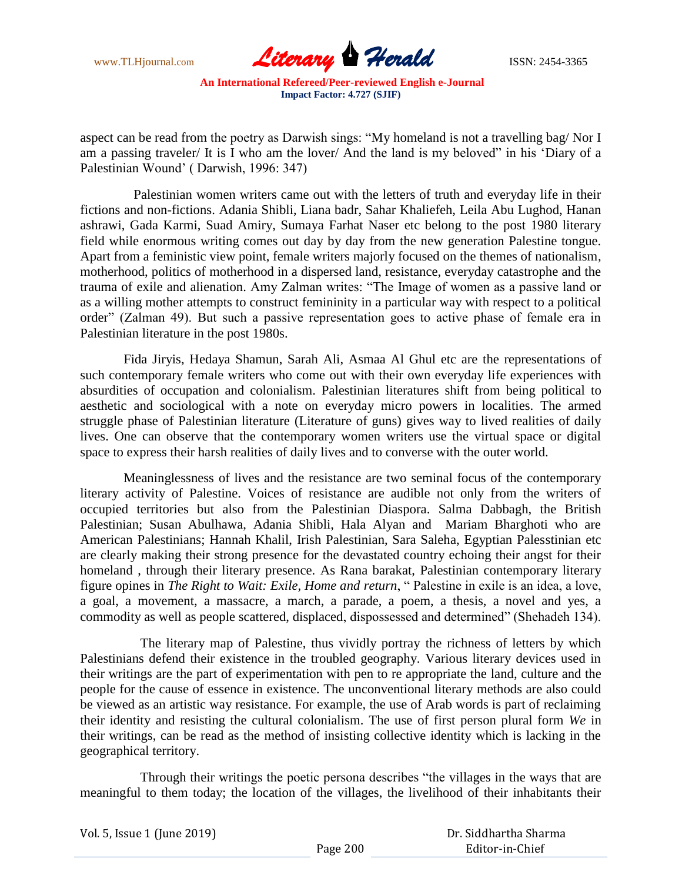

aspect can be read from the poetry as Darwish sings: "My homeland is not a travelling bag/ Nor I am a passing traveler/ It is I who am the lover/ And the land is my beloved" in his "Diary of a Palestinian Wound" ( Darwish, 1996: 347)

 Palestinian women writers came out with the letters of truth and everyday life in their fictions and non-fictions. Adania Shibli, Liana badr, Sahar Khaliefeh, Leila Abu Lughod, Hanan ashrawi, Gada Karmi, Suad Amiry, Sumaya Farhat Naser etc belong to the post 1980 literary field while enormous writing comes out day by day from the new generation Palestine tongue. Apart from a feministic view point, female writers majorly focused on the themes of nationalism, motherhood, politics of motherhood in a dispersed land, resistance, everyday catastrophe and the trauma of exile and alienation. Amy Zalman writes: "The Image of women as a passive land or as a willing mother attempts to construct femininity in a particular way with respect to a political order" (Zalman 49). But such a passive representation goes to active phase of female era in Palestinian literature in the post 1980s.

 Fida Jiryis, Hedaya Shamun, Sarah Ali, Asmaa Al Ghul etc are the representations of such contemporary female writers who come out with their own everyday life experiences with absurdities of occupation and colonialism. Palestinian literatures shift from being political to aesthetic and sociological with a note on everyday micro powers in localities. The armed struggle phase of Palestinian literature (Literature of guns) gives way to lived realities of daily lives. One can observe that the contemporary women writers use the virtual space or digital space to express their harsh realities of daily lives and to converse with the outer world.

 Meaninglessness of lives and the resistance are two seminal focus of the contemporary literary activity of Palestine. Voices of resistance are audible not only from the writers of occupied territories but also from the Palestinian Diaspora. Salma Dabbagh, the British Palestinian; Susan Abulhawa, Adania Shibli, Hala Alyan and Mariam Bharghoti who are American Palestinians; Hannah Khalil, Irish Palestinian, Sara Saleha, Egyptian Palesstinian etc are clearly making their strong presence for the devastated country echoing their angst for their homeland , through their literary presence. As Rana barakat, Palestinian contemporary literary figure opines in *The Right to Wait: Exile, Home and return*, " Palestine in exile is an idea, a love, a goal, a movement, a massacre, a march, a parade, a poem, a thesis, a novel and yes, a commodity as well as people scattered, displaced, dispossessed and determined" (Shehadeh 134).

 The literary map of Palestine, thus vividly portray the richness of letters by which Palestinians defend their existence in the troubled geography. Various literary devices used in their writings are the part of experimentation with pen to re appropriate the land, culture and the people for the cause of essence in existence. The unconventional literary methods are also could be viewed as an artistic way resistance. For example, the use of Arab words is part of reclaiming their identity and resisting the cultural colonialism. The use of first person plural form *We* in their writings, can be read as the method of insisting collective identity which is lacking in the geographical territory.

 Through their writings the poetic persona describes "the villages in the ways that are meaningful to them today; the location of the villages, the livelihood of their inhabitants their

| Vol. 5, Issue 1 (June 2019) |          | Dr. Siddhartha Sharma |
|-----------------------------|----------|-----------------------|
|                             | Page 200 | Editor-in-Chief       |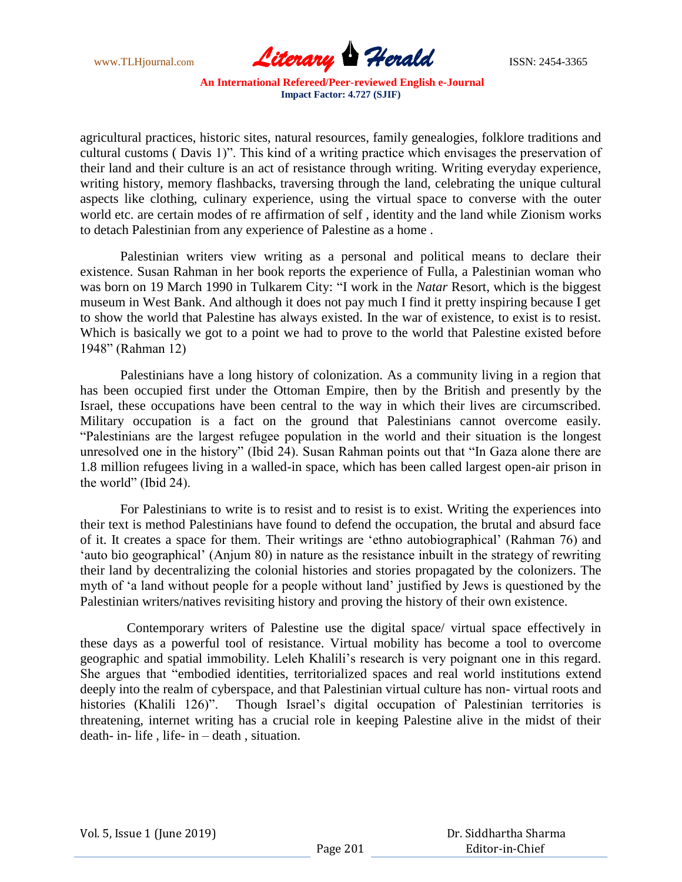

agricultural practices, historic sites, natural resources, family genealogies, folklore traditions and cultural customs ( Davis 1)". This kind of a writing practice which envisages the preservation of their land and their culture is an act of resistance through writing. Writing everyday experience, writing history, memory flashbacks, traversing through the land, celebrating the unique cultural aspects like clothing, culinary experience, using the virtual space to converse with the outer world etc. are certain modes of re affirmation of self , identity and the land while Zionism works to detach Palestinian from any experience of Palestine as a home .

Palestinian writers view writing as a personal and political means to declare their existence. Susan Rahman in her book reports the experience of Fulla, a Palestinian woman who was born on 19 March 1990 in Tulkarem City: "I work in the *Natar* Resort, which is the biggest museum in West Bank. And although it does not pay much I find it pretty inspiring because I get to show the world that Palestine has always existed. In the war of existence, to exist is to resist. Which is basically we got to a point we had to prove to the world that Palestine existed before 1948" (Rahman 12)

Palestinians have a long history of colonization. As a community living in a region that has been occupied first under the Ottoman Empire, then by the British and presently by the Israel, these occupations have been central to the way in which their lives are circumscribed. Military occupation is a fact on the ground that Palestinians cannot overcome easily. "Palestinians are the largest refugee population in the world and their situation is the longest unresolved one in the history" (Ibid 24). Susan Rahman points out that "In Gaza alone there are 1.8 million refugees living in a walled-in space, which has been called largest open-air prison in the world" (Ibid 24).

For Palestinians to write is to resist and to resist is to exist. Writing the experiences into their text is method Palestinians have found to defend the occupation, the brutal and absurd face of it. It creates a space for them. Their writings are "ethno autobiographical" (Rahman 76) and "auto bio geographical" (Anjum 80) in nature as the resistance inbuilt in the strategy of rewriting their land by decentralizing the colonial histories and stories propagated by the colonizers. The myth of "a land without people for a people without land" justified by Jews is questioned by the Palestinian writers/natives revisiting history and proving the history of their own existence.

 Contemporary writers of Palestine use the digital space/ virtual space effectively in these days as a powerful tool of resistance. Virtual mobility has become a tool to overcome geographic and spatial immobility. Leleh Khalili"s research is very poignant one in this regard. She argues that "embodied identities, territorialized spaces and real world institutions extend deeply into the realm of cyberspace, and that Palestinian virtual culture has non- virtual roots and histories (Khalili 126)". Though Israel's digital occupation of Palestinian territories is threatening, internet writing has a crucial role in keeping Palestine alive in the midst of their death- in- life , life- in – death , situation.